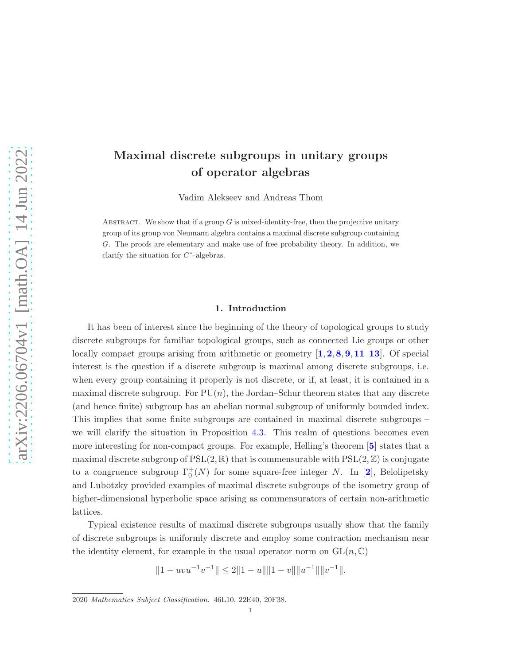# <span id="page-0-0"></span>Maximal discrete subgroups in unitary groups of operator algebras

Vadim Alekseev and Andreas Thom

ABSTRACT. We show that if a group  $G$  is mixed-identity-free, then the projective unitary group of its group von Neumann algebra contains a maximal discrete subgroup containing G. The proofs are elementary and make use of free probability theory. In addition, we clarify the situation for  $C^*$ -algebras.

## 1. Introduction

It has been of interest since the beginning of the theory of topological groups to study discrete subgroups for familiar topological groups, such as connected Lie groups or other locally compact groups arising from arithmetic or geometry  $\left[1, 2, 8, 9, 11-13\right]$  $\left[1, 2, 8, 9, 11-13\right]$  $\left[1, 2, 8, 9, 11-13\right]$  $\left[1, 2, 8, 9, 11-13\right]$  $\left[1, 2, 8, 9, 11-13\right]$  $\left[1, 2, 8, 9, 11-13\right]$  $\left[1, 2, 8, 9, 11-13\right]$  $\left[1, 2, 8, 9, 11-13\right]$  $\left[1, 2, 8, 9, 11-13\right]$  $\left[1, 2, 8, 9, 11-13\right]$  $\left[1, 2, 8, 9, 11-13\right]$  $\left[1, 2, 8, 9, 11-13\right]$  $\left[1, 2, 8, 9, 11-13\right]$ . Of special interest is the question if a discrete subgroup is maximal among discrete subgroups, i.e. when every group containing it properly is not discrete, or if, at least, it is contained in a maximal discrete subgroup. For  $PU(n)$ , the Jordan–Schur theorem states that any discrete (and hence finite) subgroup has an abelian normal subgroup of uniformly bounded index. This implies that some finite subgroups are contained in maximal discrete subgroups – we will clarify the situation in Proposition [4.3.](#page-7-1) This realm of questions becomes even more interesting for non-compact groups. For example, Helling's theorem [[5](#page-8-5)] states that a maximal discrete subgroup of  $PSL(2,\mathbb{R})$  that is commensurable with  $PSL(2,\mathbb{Z})$  is conjugate to a congruence subgroup  $\Gamma_0^+(N)$  for some square-free integer N. In [[2](#page-8-0)], Belolipetsky and Lubotzky provided examples of maximal discrete subgroups of the isometry group of higher-dimensional hyperbolic space arising as commensurators of certain non-arithmetic lattices.

Typical existence results of maximal discrete subgroups usually show that the family of discrete subgroups is uniformly discrete and employ some contraction mechanism near the identity element, for example in the usual operator norm on  $GL(n, \mathbb{C})$ 

$$
||1 - uvu^{-1}v^{-1}|| \le 2||1 - u|| ||1 - v|| ||u^{-1}|| ||v^{-1}||.
$$

<sup>2020</sup> Mathematics Subject Classification. 46L10, 22E40, 20F38.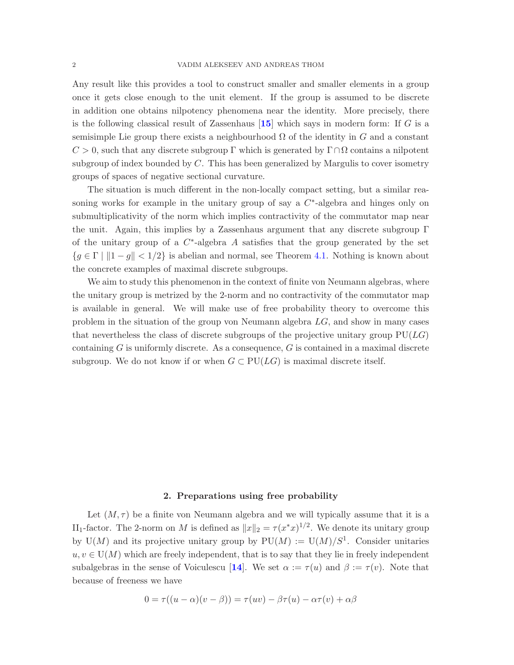<span id="page-1-0"></span>Any result like this provides a tool to construct smaller and smaller elements in a group once it gets close enough to the unit element. If the group is assumed to be discrete in addition one obtains nilpotency phenomena near the identity. More precisely, there is the following classical result of Zassenhaus  $[15]$  $[15]$  $[15]$  which says in modern form: If G is a semisimple Lie group there exists a neighbourhood  $\Omega$  of the identity in G and a constant  $C > 0$ , such that any discrete subgroup Γ which is generated by  $\Gamma \cap \Omega$  contains a nilpotent subgroup of index bounded by C. This has been generalized by Margulis to cover isometry groups of spaces of negative sectional curvature.

The situation is much different in the non-locally compact setting, but a similar reasoning works for example in the unitary group of say a  $C^*$ -algebra and hinges only on submultiplicativity of the norm which implies contractivity of the commutator map near the unit. Again, this implies by a Zassenhaus argument that any discrete subgroup  $\Gamma$ of the unitary group of a  $C^*$ -algebra A satisfies that the group generated by the set  ${g \in \Gamma \mid \|1 - g\| < 1/2}$  is abelian and normal, see Theorem [4.1.](#page-6-0) Nothing is known about the concrete examples of maximal discrete subgroups.

We aim to study this phenomenon in the context of finite von Neumann algebras, where the unitary group is metrized by the 2-norm and no contractivity of the commutator map is available in general. We will make use of free probability theory to overcome this problem in the situation of the group von Neumann algebra LG, and show in many cases that nevertheless the class of discrete subgroups of the projective unitary group  $PU(LG)$ containing  $G$  is uniformly discrete. As a consequence,  $G$  is contained in a maximal discrete subgroup. We do not know if or when  $G \subset \text{PU}(LG)$  is maximal discrete itself.

## 2. Preparations using free probability

Let  $(M, \tau)$  be a finite von Neumann algebra and we will typically assume that it is a II<sub>1</sub>-factor. The 2-norm on M is defined as  $||x||_2 = \tau (x^*x)^{1/2}$ . We denote its unitary group by  $U(M)$  and its projective unitary group by  $PU(M) := U(M)/S^1$ . Consider unitaries  $u, v \in U(M)$  which are freely independent, that is to say that they lie in freely independent subalgebras in the sense of Voiculescu [[14](#page-8-7)]. We set  $\alpha := \tau(u)$  and  $\beta := \tau(v)$ . Note that because of freeness we have

$$
0 = \tau((u - \alpha)(v - \beta)) = \tau(uv) - \beta\tau(u) - \alpha\tau(v) + \alpha\beta
$$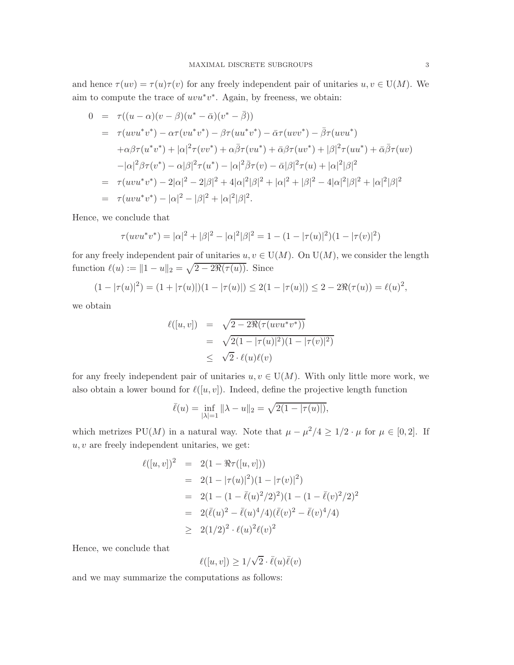and hence  $\tau(uv) = \tau(u)\tau(v)$  for any freely independent pair of unitaries  $u, v \in U(M)$ . We aim to compute the trace of  $uvw^*v^*$ . Again, by freeness, we obtain:

$$
0 = \tau((u - \alpha)(v - \beta)(u^* - \bar{\alpha})(v^* - \bar{\beta}))
$$
  
\n
$$
= \tau(uvu^*v^*) - \alpha\tau(vu^*v^*) - \beta\tau(uu^*v^*) - \bar{\alpha}\tau(uvv^*) - \bar{\beta}\tau(uvu^*)
$$
  
\n
$$
+ \alpha\beta\tau(u^*v^*) + |\alpha|^2\tau(vv^*) + \alpha\bar{\beta}\tau(vu^*) + \bar{\alpha}\beta\tau(uv^*) + |\beta|^2\tau(uu^*) + \bar{\alpha}\bar{\beta}\tau(uv)
$$
  
\n
$$
-|\alpha|^2\beta\tau(v^*) - \alpha|\beta|^2\tau(u^*) - |\alpha|^2\bar{\beta}\tau(v) - \bar{\alpha}|\beta|^2\tau(u) + |\alpha|^2|\beta|^2
$$
  
\n
$$
= \tau(uvu^*v^*) - 2|\alpha|^2 - 2|\beta|^2 + 4|\alpha|^2|\beta|^2 + |\alpha|^2 + |\beta|^2 - 4|\alpha|^2|\beta|^2 + |\alpha|^2|\beta|^2
$$
  
\n
$$
= \tau(uvu^*v^*) - |\alpha|^2 - |\beta|^2 + |\alpha|^2|\beta|^2.
$$

Hence, we conclude that

$$
\tau(uvu^*v^*) = |\alpha|^2 + |\beta|^2 - |\alpha|^2|\beta|^2 = 1 - (1 - |\tau(u)|^2)(1 - |\tau(v)|^2)
$$

for any freely independent pair of unitaries  $u, v \in U(M)$ . On  $U(M)$ , we consider the length function  $\ell(u) := \|1 - u\|_2 = \sqrt{2 - 2\Re(\tau(u))}$ . Since

$$
(1 - |\tau(u)|^2) = (1 + |\tau(u)|)(1 - |\tau(u)|) \le 2(1 - |\tau(u)|) \le 2 - 2\Re(\tau(u)) = \ell(u)^2,
$$

we obtain

$$
\ell([u, v]) = \sqrt{2 - 2\Re(\tau(uvu^*v^*))} \n= \sqrt{2(1 - |\tau(u)|^2)(1 - |\tau(v)|^2)} \n\leq \sqrt{2} \cdot \ell(u)\ell(v)
$$

for any freely independent pair of unitaries  $u, v \in U(M)$ . With only little more work, we also obtain a lower bound for  $\ell([u, v])$ . Indeed, define the projective length function

$$
\bar{\ell}(u) = \inf_{|\lambda|=1} \|\lambda - u\|_2 = \sqrt{2(1 - |\tau(u)|)},
$$

which metrizes PU(M) in a natural way. Note that  $\mu - \mu^2/4 \geq 1/2 \cdot \mu$  for  $\mu \in [0, 2]$ . If  $u, v$  are freely independent unitaries, we get:

$$
\ell([u, v])^2 = 2(1 - \Re \tau([u, v]))
$$
  
= 2(1 - |\tau(u)|^2)(1 - |\tau(v)|^2)  
= 2(1 - (1 - \bar{\ell}(u)^2/2)^2)(1 - (1 - \bar{\ell}(v)^2/2)^2)  
= 2(\bar{\ell}(u)^2 - \bar{\ell}(u)^4/4)(\bar{\ell}(v)^2 - \bar{\ell}(v)^4/4)  
\ge 2(1/2)^2 \cdot \ell(u)^2 \ell(v)^2

Hence, we conclude that

$$
\ell([u, v]) \ge 1/\sqrt{2} \cdot \bar{\ell}(u)\bar{\ell}(v)
$$

and we may summarize the computations as follows: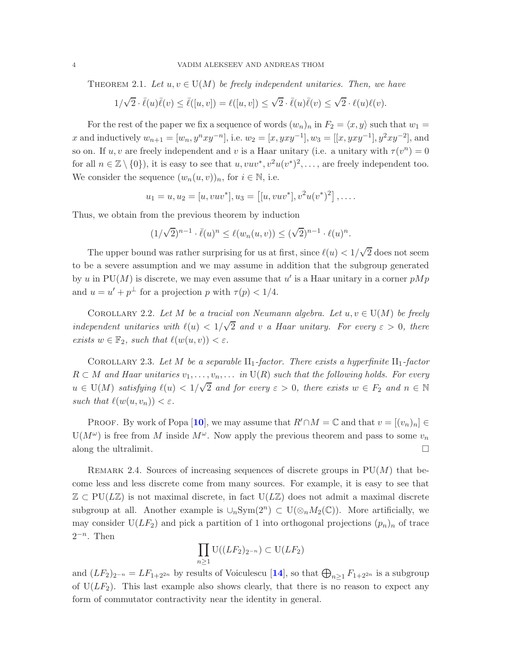<span id="page-3-0"></span>THEOREM 2.1. Let  $u, v \in U(M)$  be freely independent unitaries. Then, we have

$$
1/\sqrt{2} \cdot \overline{\ell}(u)\overline{\ell}(v) \le \overline{\ell}([u,v]) = \ell([u,v]) \le \sqrt{2} \cdot \overline{\ell}(u)\overline{\ell}(v) \le \sqrt{2} \cdot \ell(u)\ell(v).
$$

For the rest of the paper we fix a sequence of words  $(w_n)_n$  in  $F_2 = \langle x, y \rangle$  such that  $w_1 =$ x and inductively  $w_{n+1} = [w_n, y^n x y^{-n}],$  i.e.  $w_2 = [x, y x y^{-1}], w_3 = [[x, y x y^{-1}], y^2 x y^{-2}],$  and so on. If  $u, v$  are freely independent and v is a Haar unitary (i.e. a unitary with  $\tau(v^n) = 0$ for all  $n \in \mathbb{Z} \setminus \{0\}$ , it is easy to see that  $u, vuv^*, v^2u(v^*)^2, \ldots$ , are freely independent too. We consider the sequence  $(w_n(u, v))_n$ , for  $i \in \mathbb{N}$ , i.e.

$$
u_1 = u, u_2 = [u, vuv^*], u_3 = [[u, vuv^*], v^2u(v^*)^2], \dots
$$

Thus, we obtain from the previous theorem by induction

$$
(1/\sqrt{2})^{n-1} \cdot \overline{\ell}(u)^n \le \ell(w_n(u,v)) \le (\sqrt{2})^{n-1} \cdot \ell(u)^n.
$$

The upper bound was rather surprising for us at first, since  $\ell(u) < 1/\sqrt{2}$  does not seem to be a severe assumption and we may assume in addition that the subgroup generated by u in PU(M) is discrete, we may even assume that u' is a Haar unitary in a corner  $pMp$ and  $u = u' + p^{\perp}$  for a projection p with  $\tau(p) < 1/4$ .

COROLLARY 2.2. Let M be a tracial von Neumann algebra. Let  $u, v \in U(M)$  be freely *independent unitaries with*  $\ell(u) < 1/\sqrt{2}$  *and v a Haar unitary. For every*  $\varepsilon > 0$ *, there exists*  $w \in \mathbb{F}_2$ *, such that*  $\ell(w(u, v)) < \varepsilon$ *.* 

COROLLARY 2.3. Let M be a separable  $II_1$ -factor. There exists a hyperfinite  $II_1$ -factor  $R \subset M$  and Haar unitaries  $v_1, \ldots, v_n, \ldots$  in  $U(R)$  such that the following holds. For every  $u \in U(M)$  satisfying  $\ell(u) < 1/\sqrt{2}$  and for every  $\varepsilon > 0$ , there exists  $w \in F_2$  and  $n \in \mathbb{N}$ *such that*  $\ell(w(u, v_n)) < \varepsilon$ *.* 

PROOF. By work of Popa [[10](#page-8-8)], we may assume that  $R' \cap M = \mathbb{C}$  and that  $v = [(v_n)_n] \in$  $U(M^{\omega})$  is free from M inside  $M^{\omega}$ . Now apply the previous theorem and pass to some  $v_n$ along the ultralimit.  $\square$ 

REMARK 2.4. Sources of increasing sequences of discrete groups in  $PU(M)$  that become less and less discrete come from many sources. For example, it is easy to see that  $\mathbb{Z} \subset \text{PU}(L\mathbb{Z})$  is not maximal discrete, in fact  $\text{U}(L\mathbb{Z})$  does not admit a maximal discrete subgroup at all. Another example is  $\cup_n \text{Sym}(2^n) \subset U(\otimes_n M_2(\mathbb{C}))$ . More artificially, we may consider  $U(LF_2)$  and pick a partition of 1 into orthogonal projections  $(p_n)_n$  of trace  $2^{-n}$ . Then

$$
\prod_{n\geq 1} \mathrm{U}((LF_2)_{2^{-n}}) \subset \mathrm{U}(LF_2)
$$

and  $(LF_2)_{2^{-n}} = LF_{1+2^{2n}}$  by results of Voiculescu [[14](#page-8-7)], so that  $\bigoplus_{n\geq 1} F_{1+2^{2n}}$  is a subgroup of  $U(LF_2)$ . This last example also shows clearly, that there is no reason to expect any form of commutator contractivity near the identity in general.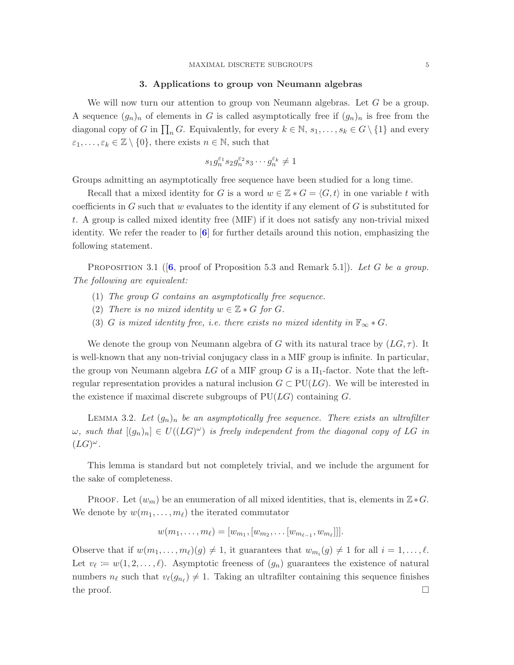#### 3. Applications to group von Neumann algebras

<span id="page-4-0"></span>We will now turn our attention to group von Neumann algebras. Let G be a group. A sequence  $(g_n)_n$  of elements in G is called asymptotically free if  $(g_n)_n$  is free from the diagonal copy of G in  $\prod_n G$ . Equivalently, for every  $k \in \mathbb{N}$ ,  $s_1, \ldots, s_k \in G \setminus \{1\}$  and every  $\varepsilon_1, \ldots, \varepsilon_k \in \mathbb{Z} \setminus \{0\}$ , there exists  $n \in \mathbb{N}$ , such that

$$
s_1 g_n^{\varepsilon_1} s_2 g_n^{\varepsilon_2} s_3 \cdots g_n^{\varepsilon_k} \neq 1
$$

Groups admitting an asymptotically free sequence have been studied for a long time.

Recall that a mixed identity for G is a word  $w \in \mathbb{Z} * G = \langle G, t \rangle$  in one variable t with coefficients in  $G$  such that w evaluates to the identity if any element of  $G$  is substituted for t. A group is called mixed identity free (MIF) if it does not satisfy any non-trivial mixed identity. We refer the reader to  $\left[6\right]$  $\left[6\right]$  $\left[6\right]$  for further details around this notion, emphasizing the following statement.

Proposition 3.1 ([[6](#page-8-9), proof of Proposition 5.3 and Remark 5.1]). *Let* G *be a group. The following are equivalent:*

- (1) *The group* G *contains an asymptotically free sequence.*
- (2) *There is no mixed identity*  $w \in \mathbb{Z} * G$  *for*  $G$ *.*
- (3) G *is mixed identity free, i.e. there exists no mixed identity in*  $\mathbb{F}_{\infty} * G$ .

We denote the group von Neumann algebra of G with its natural trace by  $(LG, \tau)$ . It is well-known that any non-trivial conjugacy class in a MIF group is infinite. In particular, the group von Neumann algebra  $LG$  of a MIF group G is a  $II_1$ -factor. Note that the leftregular representation provides a natural inclusion  $G \subset \text{PU}(LG)$ . We will be interested in the existence if maximal discrete subgroups of  $PU(LG)$  containing G.

LEMMA 3.2. Let  $(g_n)_n$  be an asymptotically free sequence. There exists an ultrafilter  $\omega$ , such that  $[(g_n)_n] \in U((LG)^{\omega})$  is freely independent from the diagonal copy of LG in  $(LG)^{\omega}.$ 

This lemma is standard but not completely trivial, and we include the argument for the sake of completeness.

PROOF. Let  $(w_m)$  be an enumeration of all mixed identities, that is, elements in  $\mathbb{Z} * G$ . We denote by  $w(m_1, \ldots, m_\ell)$  the iterated commutator

$$
w(m_1, \ldots, m_\ell) = [w_{m_1}, [w_{m_2}, \ldots [w_{m_{\ell-1}}, w_{m_\ell}]]].
$$

Observe that if  $w(m_1, \ldots, m_\ell)(g) \neq 1$ , it guarantees that  $w_{m_i}(g) \neq 1$  for all  $i = 1, \ldots, \ell$ . Let  $v_{\ell} \coloneqq w(1, 2, \ldots, \ell)$ . Asymptotic freeness of  $(g_n)$  guarantees the existence of natural numbers  $n_{\ell}$  such that  $v_{\ell}(g_{n_{\ell}}) \neq 1$ . Taking an ultrafilter containing this sequence finishes the proof.  $\Box$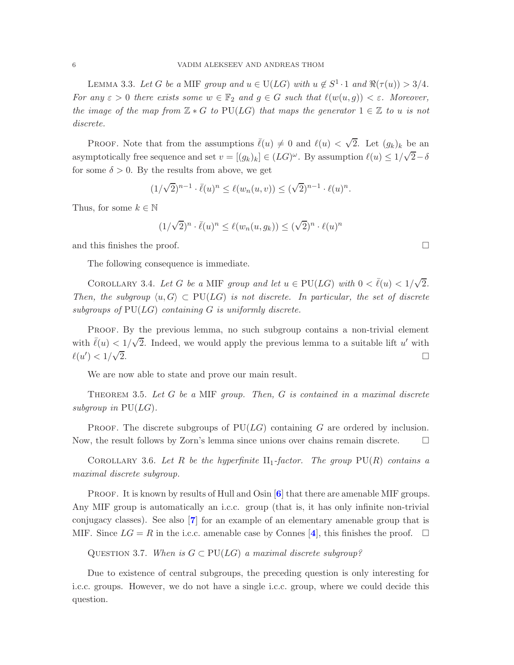<span id="page-5-0"></span>LEMMA 3.3. Let G be a MIF group and  $u \in U(LG)$  with  $u \notin S^1 \cdot 1$  and  $\Re(\tau(u)) > 3/4$ . *For any*  $\varepsilon > 0$  *there exists some*  $w \in \mathbb{F}_2$  *and*  $g \in G$  *such that*  $\ell(w(u, g)) < \varepsilon$ *. Moreover, the image of the map from*  $\mathbb{Z} * G$  *to* PU( $LG$ ) *that maps the generator*  $1 \in \mathbb{Z}$  *to u is not discrete.*

PROOF. Note that from the assumptions  $\bar{\ell}(u) \neq 0$  and  $\ell(u) < \sqrt{2}$ . Let  $(g_k)_k$  be an asymptotically free sequence and set  $v = [(g_k)_k] \in (LG)^\omega$ . By assumption  $\ell(u) \leq 1/\sqrt{2} - \delta$ for some  $\delta > 0$ . By the results from above, we get

$$
(1/\sqrt{2})^{n-1} \cdot \overline{\ell}(u)^n \le \ell(w_n(u,v)) \le (\sqrt{2})^{n-1} \cdot \ell(u)^n.
$$

Thus, for some  $k \in \mathbb{N}$ 

$$
(1/\sqrt{2})^n \cdot \overline{\ell}(u)^n \le \ell(w_n(u,g_k)) \le (\sqrt{2})^n \cdot \ell(u)^n
$$

and this finishes the proof.

The following consequence is immediate.

COROLLARY 3.4. Let G be a MIF group and let  $u \in \text{PU}(LG)$  with  $0 < \bar{\ell}(u) < 1/\sqrt{2}$ . *Then, the subgroup*  $\langle u, G \rangle \subset PU(LG)$  *is not discrete. In particular, the set of discrete subgroups of* PU(LG) *containing* G *is uniformly discrete.*

Proof. By the previous lemma, no such subgroup contains a non-trivial element with  $\bar{\ell}(u) < 1/\sqrt{2}$ . Indeed, we would apply the previous lemma to a suitable lift u' with  $\ell(u') < 1/\sqrt{2}$  $\overline{2}$ .

We are now able to state and prove our main result.

Theorem 3.5. *Let* G *be a* MIF *group. Then,* G *is contained in a maximal discrete subgroup in* PU(LG)*.*

PROOF. The discrete subgroups of  $PU(LG)$  containing G are ordered by inclusion. Now, the result follows by Zorn's lemma since unions over chains remain discrete.

COROLLARY 3.6. Let R be the hyperfinite  $II_1$ -factor. The group  $PU(R)$  contains a *maximal discrete subgroup.*

PROOF. It is known by results of Hull and Osin  $[6]$  $[6]$  $[6]$  that there are amenable MIF groups. Any MIF group is automatically an i.c.c. group (that is, it has only infinite non-trivial conjugacy classes). See also [[7](#page-8-10)] for an example of an elementary amenable group that is MIF. Since  $LG = R$  in the i.c.c. amenable case by Connes [[4](#page-8-11)], this finishes the proof.  $\square$ 

QUESTION 3.7. When is  $G \subset \text{PU}(LG)$  a maximal discrete subgroup?

Due to existence of central subgroups, the preceding question is only interesting for i.c.c. groups. However, we do not have a single i.c.c. group, where we could decide this question.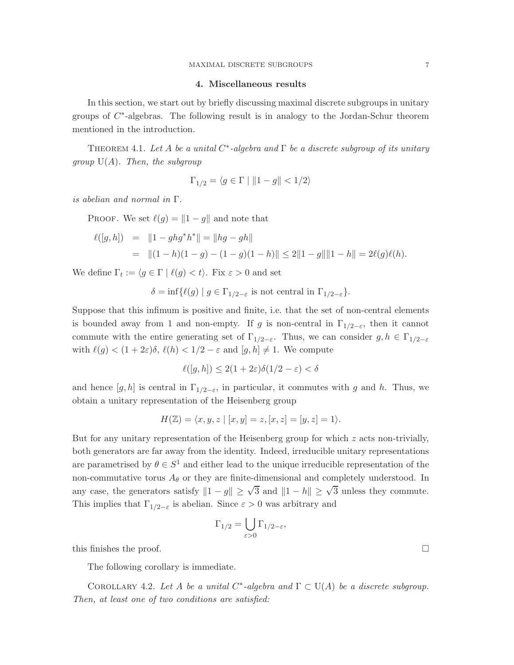## 4. Miscellaneous results

In this section, we start out by briefly discussing maximal discrete subgroups in unitary groups of  $C^*$ -algebras. The following result is in analogy to the Jordan-Schur theorem mentioned in the introduction.

<span id="page-6-0"></span>Theorem 4.1. *Let* A *be a unital* C ∗ *-algebra and* Γ *be a discrete subgroup of its unitary group* U(A)*. Then, the subgroup*

$$
\Gamma_{1/2} = \langle g \in \Gamma \mid ||1 - g|| < 1/2 \rangle
$$

*is abelian and normal in* Γ*.*

PROOF. We set  $\ell(g) = ||1 - g||$  and note that

$$
\ell([g,h]) = ||1 - ghg^*h^*|| = ||hg - gh||
$$
  
=  $||(1-h)(1-g) - (1-g)(1-h)|| \le 2||1-g|| ||1-h|| = 2\ell(g)\ell(h).$ 

We define  $\Gamma_t := \langle g \in \Gamma \mid \ell(g) < t \rangle$ . Fix  $\varepsilon > 0$  and set

 $\delta = \inf \{ \ell(g) \mid g \in \Gamma_{1/2-\varepsilon} \text{ is not central in } \Gamma_{1/2-\varepsilon} \}.$ 

Suppose that this infimum is positive and finite, i.e. that the set of non-central elements is bounded away from 1 and non-empty. If g is non-central in  $\Gamma_{1/2-\varepsilon}$ , then it cannot commute with the entire generating set of  $\Gamma_{1/2-\varepsilon}$ . Thus, we can consider  $g, h \in \Gamma_{1/2-\varepsilon}$ with  $\ell(g) < (1+2\varepsilon)\delta$ ,  $\ell(h) < 1/2 - \varepsilon$  and  $[g,h] \neq 1$ . We compute

$$
\ell([g,h]) \le 2(1+2\varepsilon)\delta(1/2-\varepsilon) < \delta
$$

and hence  $[g,h]$  is central in  $\Gamma_{1/2-\varepsilon}$ , in particular, it commutes with g and h. Thus, we obtain a unitary representation of the Heisenberg group

$$
H(\mathbb{Z}) = \langle x, y, z \mid [x, y] = z, [x, z] = [y, z] = 1 \rangle.
$$

But for any unitary representation of the Heisenberg group for which  $z$  acts non-trivially, both generators are far away from the identity. Indeed, irreducible unitary representations are parametrised by  $\theta \in S^1$  and either lead to the unique irreducible representation of the non-commutative torus  $A_{\theta}$  or they are finite-dimensional and completely understood. In any case, the generators satisfy  $||1 - g|| \geq \sqrt{3}$  and  $||1 - h|| \geq \sqrt{3}$  unless they commute. This implies that  $\Gamma_{1/2-\varepsilon}$  is abelian. Since  $\varepsilon > 0$  was arbitrary and

$$
\Gamma_{1/2} = \bigcup_{\varepsilon > 0} \Gamma_{1/2 - \varepsilon},
$$

this finishes the proof.  $\Box$ 

The following corollary is immediate.

COROLLARY 4.2. Let A be a unital  $C^*$ -algebra and  $\Gamma \subset U(A)$  be a discrete subgroup. *Then, at least one of two conditions are satisfied:*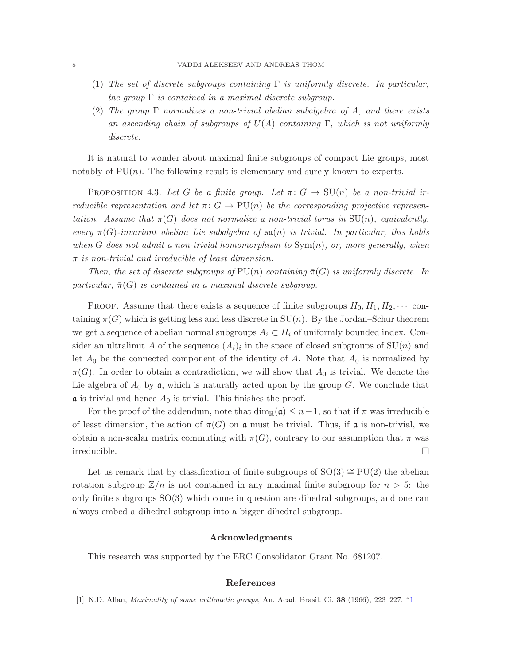- (1) *The set of discrete subgroups containing* Γ *is uniformly discrete. In particular, the group* Γ *is contained in a maximal discrete subgroup.*
- (2) *The group* Γ *normalizes a non-trivial abelian subalgebra of* A*, and there exists an ascending chain of subgroups of* U(A) *containing* Γ*, which is not uniformly discrete.*

It is natural to wonder about maximal finite subgroups of compact Lie groups, most notably of  $PU(n)$ . The following result is elementary and surely known to experts.

<span id="page-7-1"></span>PROPOSITION 4.3. Let G be a finite group. Let  $\pi: G \to \mathrm{SU}(n)$  be a non-trivial ir*reducible representation and let*  $\bar{\pi}$ :  $G \to \text{PU}(n)$  *be the corresponding projective representation. Assume that*  $\pi(G)$  *does not normalize a non-trivial torus in*  $SU(n)$ *, equivalently, every*  $\pi(G)$ -invariant abelian Lie subalgebra of  $\mathfrak{su}(n)$  is trivial. In particular, this holds *when* G *does not admit a non-trivial homomorphism to* Sym(n)*, or, more generally, when* π *is non-trivial and irreducible of least dimension.*

*Then, the set of discrete subgroups of*  $PU(n)$  *containing*  $\bar{\pi}(G)$  *is uniformly discrete. In particular,*  $\bar{\pi}(G)$  *is contained in a maximal discrete subgroup.* 

PROOF. Assume that there exists a sequence of finite subgroups  $H_0, H_1, H_2, \cdots$  containing  $\pi(G)$  which is getting less and less discrete in  $SU(n)$ . By the Jordan–Schur theorem we get a sequence of abelian normal subgroups  $A_i \subset H_i$  of uniformly bounded index. Consider an ultralimit A of the sequence  $(A_i)_i$  in the space of closed subgroups of  $SU(n)$  and let  $A_0$  be the connected component of the identity of A. Note that  $A_0$  is normalized by  $\pi(G)$ . In order to obtain a contradiction, we will show that  $A_0$  is trivial. We denote the Lie algebra of  $A_0$  by  $\mathfrak{a}$ , which is naturally acted upon by the group G. We conclude that  $\alpha$  is trivial and hence  $A_0$  is trivial. This finishes the proof.

For the proof of the addendum, note that  $\dim_{\mathbb{R}}(\mathfrak{a}) \leq n-1$ , so that if  $\pi$  was irreducible of least dimension, the action of  $\pi(G)$  on  $\mathfrak a$  must be trivial. Thus, if  $\mathfrak a$  is non-trivial, we obtain a non-scalar matrix commuting with  $\pi(G)$ , contrary to our assumption that  $\pi$  was irreducible.

Let us remark that by classification of finite subgroups of  $SO(3) \cong PU(2)$  the abelian rotation subgroup  $\mathbb{Z}/n$  is not contained in any maximal finite subgroup for  $n > 5$ : the only finite subgroups  $SO(3)$  which come in question are dihedral subgroups, and one can always embed a dihedral subgroup into a bigger dihedral subgroup.

### Acknowledgments

This research was supported by the ERC Consolidator Grant No. 681207.

#### References

<span id="page-7-0"></span>[[1](#page-0-0)] N.D. Allan, *Maximality of some arithmetic groups*, An. Acad. Brasil. Ci. **38** (1966), 223–227.  $\uparrow$ 1